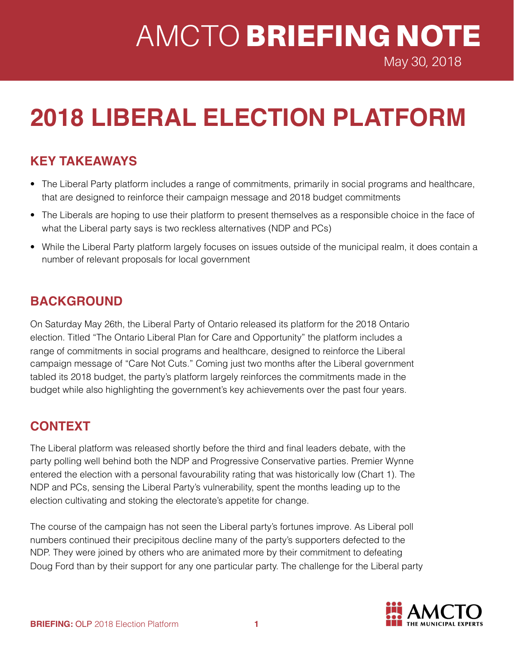# AMCTO BRIEFING NOTE

May 30, 2018

## **2018 LIBERAL ELECTION PLATFORM**

### **KEY TAKEAWAYS**

- The Liberal Party platform includes a range of commitments, primarily in social programs and healthcare, that are designed to reinforce their campaign message and 2018 budget commitments
- The Liberals are hoping to use their platform to present themselves as a responsible choice in the face of what the Liberal party says is two reckless alternatives (NDP and PCs)
- While the Liberal Party platform largely focuses on issues outside of the municipal realm, it does contain a number of relevant proposals for local government

#### **BACKGROUND**

On Saturday May 26th, the Liberal Party of Ontario released its platform for the 2018 Ontario election. Titled "The Ontario Liberal Plan for Care and Opportunity" the platform includes a range of commitments in social programs and healthcare, designed to reinforce the Liberal campaign message of "Care Not Cuts." Coming just two months after the Liberal government tabled its 2018 budget, the party's platform largely reinforces the commitments made in the budget while also highlighting the government's key achievements over the past four years.

### **CONTEXT**

The Liberal platform was released shortly before the third and final leaders debate, with the party polling well behind both the NDP and Progressive Conservative parties. Premier Wynne entered the election with a personal favourability rating that was historically low (Chart 1). The NDP and PCs, sensing the Liberal Party's vulnerability, spent the months leading up to the election cultivating and stoking the electorate's appetite for change.

The course of the campaign has not seen the Liberal party's fortunes improve. As Liberal poll numbers continued their precipitous decline many of the party's supporters defected to the NDP. They were joined by others who are animated more by their commitment to defeating Doug Ford than by their support for any one particular party. The challenge for the Liberal party

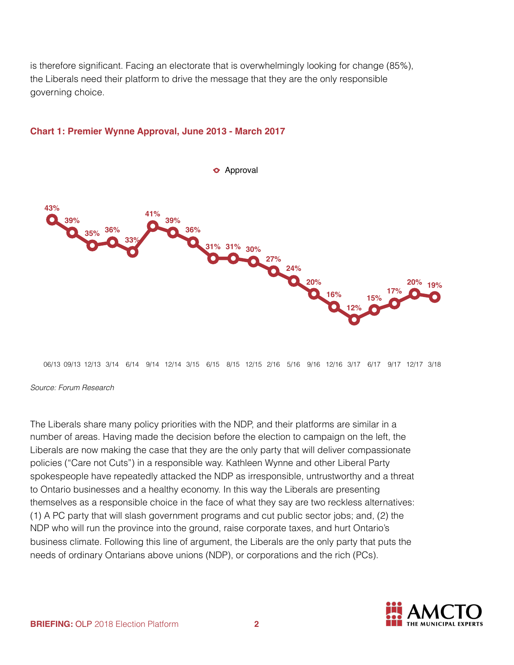is therefore significant. Facing an electorate that is overwhelmingly looking for change (85%), the Liberals need their platform to drive the message that they are the only responsible governing choice.



#### **Chart 1: Premier Wynne Approval, June 2013 - March 2017**

06/13 09/13 12/13 3/14 6/14 9/14 12/14 3/15 6/15 8/15 12/15 2/16 5/16 9/16 12/16 3/17 6/17 9/17 12/17 3/18

#### *Source: Forum Research*

The Liberals share many policy priorities with the NDP, and their platforms are similar in a number of areas. Having made the decision before the election to campaign on the left, the Liberals are now making the case that they are the only party that will deliver compassionate policies ("Care not Cuts") in a responsible way. Kathleen Wynne and other Liberal Party spokespeople have repeatedly attacked the NDP as irresponsible, untrustworthy and a threat to Ontario businesses and a healthy economy. In this way the Liberals are presenting themselves as a responsible choice in the face of what they say are two reckless alternatives: (1) A PC party that will slash government programs and cut public sector jobs; and, (2) the NDP who will run the province into the ground, raise corporate taxes, and hurt Ontario's business climate. Following this line of argument, the Liberals are the only party that puts the needs of ordinary Ontarians above unions (NDP), or corporations and the rich (PCs).

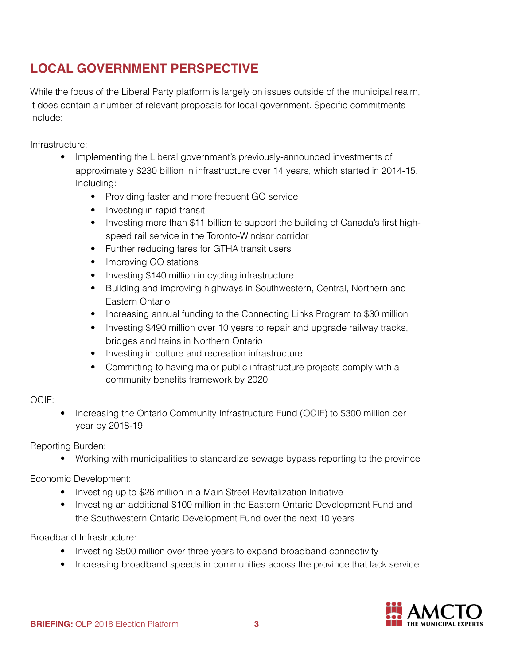## **LOCAL GOVERNMENT PERSPECTIVE**

While the focus of the Liberal Party platform is largely on issues outside of the municipal realm, it does contain a number of relevant proposals for local government. Specific commitments include:

Infrastructure:

- Implementing the Liberal government's previously-announced investments of approximately \$230 billion in infrastructure over 14 years, which started in 2014-15. Including:
	- Providing faster and more frequent GO service
	- Investing in rapid transit
	- Investing more than \$11 billion to support the building of Canada's first highspeed rail service in the Toronto-Windsor corridor
	- Further reducing fares for GTHA transit users
	- Improving GO stations
	- Investing \$140 million in cycling infrastructure
	- Building and improving highways in Southwestern, Central, Northern and Eastern Ontario
	- Increasing annual funding to the Connecting Links Program to \$30 million
	- Investing \$490 million over 10 years to repair and upgrade railway tracks, bridges and trains in Northern Ontario
	- Investing in culture and recreation infrastructure
	- Committing to having major public infrastructure projects comply with a community benefits framework by 2020

#### OCIF:

• Increasing the Ontario Community Infrastructure Fund (OCIF) to \$300 million per year by 2018-19

Reporting Burden:

• Working with municipalities to standardize sewage bypass reporting to the province

Economic Development:

- Investing up to \$26 million in a Main Street Revitalization Initiative
- Investing an additional \$100 million in the Eastern Ontario Development Fund and the Southwestern Ontario Development Fund over the next 10 years

Broadband Infrastructure:

- Investing \$500 million over three years to expand broadband connectivity
- Increasing broadband speeds in communities across the province that lack service

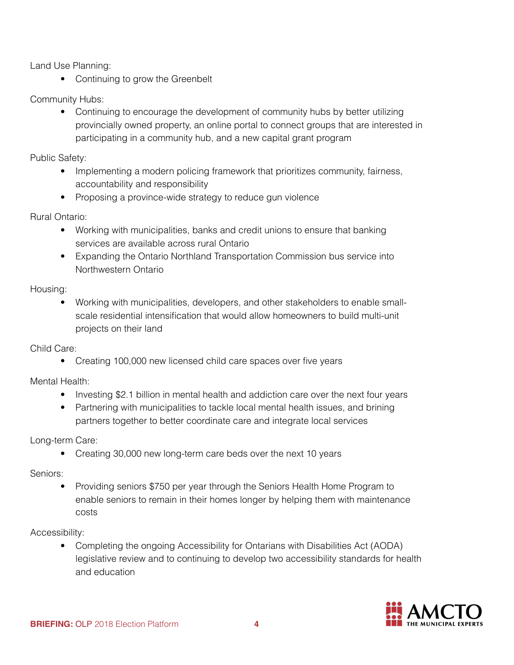Land Use Planning:

• Continuing to grow the Greenbelt

Community Hubs:

• Continuing to encourage the development of community hubs by better utilizing provincially owned property, an online portal to connect groups that are interested in participating in a community hub, and a new capital grant program

Public Safety:

- Implementing a modern policing framework that prioritizes community, fairness, accountability and responsibility
- Proposing a province-wide strategy to reduce gun violence

Rural Ontario:

- Working with municipalities, banks and credit unions to ensure that banking services are available across rural Ontario
- Expanding the Ontario Northland Transportation Commission bus service into Northwestern Ontario

Housing:

• Working with municipalities, developers, and other stakeholders to enable smallscale residential intensification that would allow homeowners to build multi-unit projects on their land

Child Care:

• Creating 100,000 new licensed child care spaces over five years

Mental Health:

- Investing \$2.1 billion in mental health and addiction care over the next four years
- Partnering with municipalities to tackle local mental health issues, and brining partners together to better coordinate care and integrate local services

Long-term Care:

• Creating 30,000 new long-term care beds over the next 10 years

Seniors:

• Providing seniors \$750 per year through the Seniors Health Home Program to enable seniors to remain in their homes longer by helping them with maintenance costs

Accessibility:

• Completing the ongoing Accessibility for Ontarians with Disabilities Act (AODA) legislative review and to continuing to develop two accessibility standards for health and education